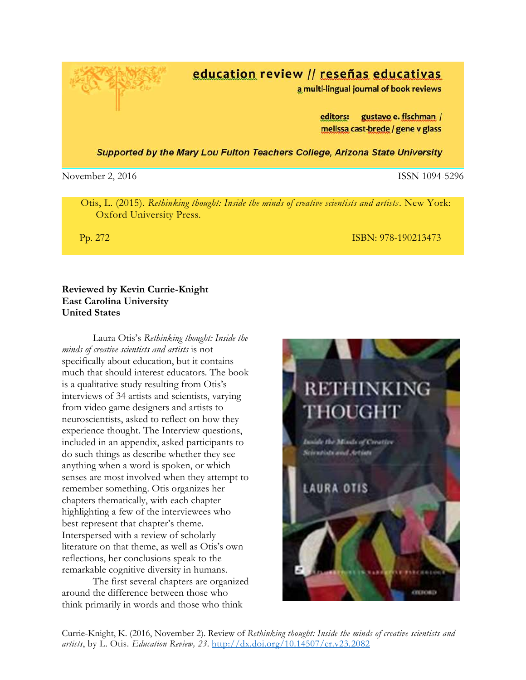Currie-Knight, K. (2016, November 2). Review of *Rethinking thought: Inside the minds of creative scientists and artists*, by L. Otis. *Education Review, 23.* <http://dx.doi.org/10.14507/er.v23.2082>

## education review // reseñas educativas

a multi-lingual journal of book reviews

gustavo e. fischman / editors: melissa cast-brede / gene v glass

Supported by the Mary Lou Fulton Teachers College, Arizona State University

November 2, 2016 **ISSN 1094-5296** 

 Otis, L. (2015). *Rethinking thought: Inside the minds of creative scientists and artists*. New York: Oxford University Press.

**Pp. 272 ISBN: 978-190213473** 

### **Reviewed by Kevin Currie-Knight East Carolina University United States**

Laura Otis's *Rethinking thought: Inside the minds of creative scientists and artists* is not specifically about education, but it contains much that should interest educators. The book is a qualitative study resulting from Otis's interviews of 34 artists and scientists, varying from video game designers and artists to neuroscientists, asked to reflect on how they experience thought. The Interview questions, included in an appendix, asked participants to do such things as describe whether they see anything when a word is spoken, or which senses are most involved when they attempt to remember something. Otis organizes her chapters thematically, with each chapter highlighting a few of the interviewees who best represent that chapter's theme. Interspersed with a review of scholarly literature on that theme, as well as Otis's own reflections, her conclusions speak to the remarkable cognitive diversity in humans.

The first several chapters are organized around the difference between those who think primarily in words and those who think



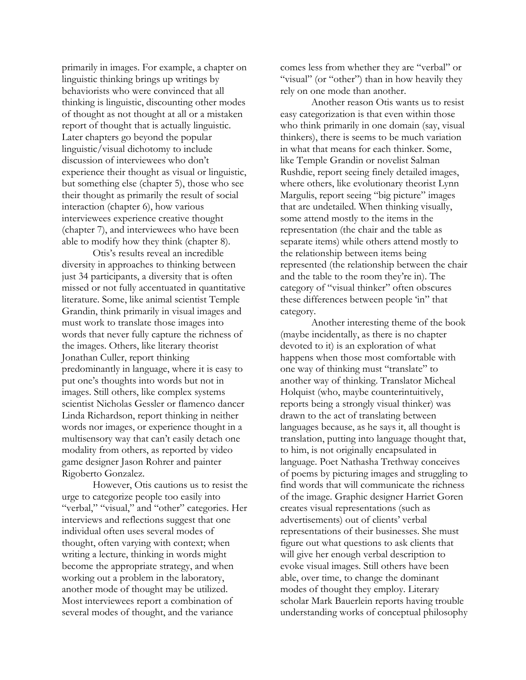primarily in images. For example, a chapter on linguistic thinking brings up writings by behaviorists who were convinced that all thinking is linguistic, discounting other modes of thought as not thought at all or a mistaken report of thought that is actually linguistic. Later chapters go beyond the popular linguistic/visual dichotomy to include discussion of interviewees who don't experience their thought as visual or linguistic, but something else (chapter 5), those who see their thought as primarily the result of social interaction (chapter 6), how various interviewees experience creative thought (chapter 7), and interviewees who have been able to modify how they think (chapter 8).

Otis's results reveal an incredible diversity in approaches to thinking between just 34 participants, a diversity that is often missed or not fully accentuated in quantitative literature. Some, like animal scientist Temple Grandin, think primarily in visual images and must work to translate those images into words that never fully capture the richness of the images. Others, like literary theorist Jonathan Culler, report thinking predominantly in language, where it is easy to put one's thoughts into words but not in images. Still others, like complex systems scientist Nicholas Gessler or flamenco dancer Linda Richardson, report thinking in neither words nor images, or experience thought in a multisensory way that can't easily detach one modality from others, as reported by video game designer Jason Rohrer and painter Rigoberto Gonzalez.

However, Otis cautions us to resist the urge to categorize people too easily into "verbal," "visual," and "other" categories. Her interviews and reflections suggest that one individual often uses several modes of thought, often varying with context; when writing a lecture, thinking in words might become the appropriate strategy, and when working out a problem in the laboratory, another mode of thought may be utilized. Most interviewees report a combination of several modes of thought, and the variance

comes less from whether they are "verbal" or "visual" (or "other") than in how heavily they rely on one mode than another.

Another reason Otis wants us to resist easy categorization is that even within those who think primarily in one domain (say, visual thinkers), there is seems to be much variation in what that means for each thinker. Some, like Temple Grandin or novelist Salman Rushdie, report seeing finely detailed images, where others, like evolutionary theorist Lynn Margulis, report seeing "big picture" images that are undetailed. When thinking visually, some attend mostly to the items in the representation (the chair and the table as separate items) while others attend mostly to the relationship between items being represented (the relationship between the chair and the table to the room they're in). The category of "visual thinker" often obscures these differences between people 'in" that category.

Another interesting theme of the book (maybe incidentally, as there is no chapter devoted to it) is an exploration of what happens when those most comfortable with one way of thinking must "translate" to another way of thinking. Translator Micheal Holquist (who, maybe counterintuitively, reports being a strongly visual thinker) was drawn to the act of translating between languages because, as he says it, all thought is translation, putting into language thought that, to him, is not originally encapsulated in language. Poet Nathasha Trethway conceives of poems by picturing images and struggling to find words that will communicate the richness of the image. Graphic designer Harriet Goren creates visual representations (such as advertisements) out of clients' verbal representations of their businesses. She must figure out what questions to ask clients that will give her enough verbal description to evoke visual images. Still others have been able, over time, to change the dominant modes of thought they employ. Literary scholar Mark Bauerlein reports having trouble understanding works of conceptual philosophy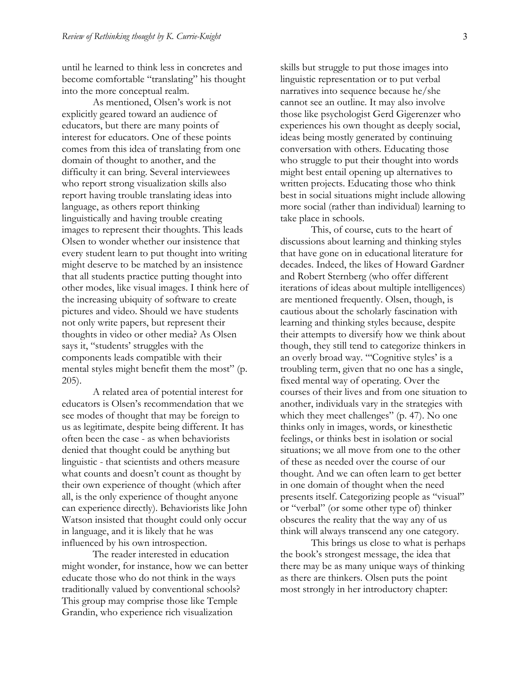until he learned to think less in concretes and become comfortable "translating" his thought into the more conceptual realm.

As mentioned, Olsen's work is not explicitly geared toward an audience of educators, but there are many points of interest for educators. One of these points comes from this idea of translating from one domain of thought to another, and the difficulty it can bring. Several interviewees who report strong visualization skills also report having trouble translating ideas into language, as others report thinking linguistically and having trouble creating images to represent their thoughts. This leads Olsen to wonder whether our insistence that every student learn to put thought into writing might deserve to be matched by an insistence that all students practice putting thought into other modes, like visual images. I think here of the increasing ubiquity of software to create pictures and video. Should we have students not only write papers, but represent their thoughts in video or other media? As Olsen says it, "students' struggles with the components leads compatible with their mental styles might benefit them the most" (p. 205).

A related area of potential interest for educators is Olsen's recommendation that we see modes of thought that may be foreign to us as legitimate, despite being different. It has often been the case - as when behaviorists denied that thought could be anything but linguistic - that scientists and others measure what counts and doesn't count as thought by their own experience of thought (which after all, is the only experience of thought anyone can experience directly). Behaviorists like John Watson insisted that thought could only occur in language, and it is likely that he was influenced by his own introspection.

The reader interested in education might wonder, for instance, how we can better educate those who do not think in the ways traditionally valued by conventional schools? This group may comprise those like Temple Grandin, who experience rich visualization

skills but struggle to put those images into linguistic representation or to put verbal narratives into sequence because he/she cannot see an outline. It may also involve those like psychologist Gerd Gigerenzer who experiences his own thought as deeply social, ideas being mostly generated by continuing conversation with others. Educating those who struggle to put their thought into words might best entail opening up alternatives to written projects. Educating those who think best in social situations might include allowing more social (rather than individual) learning to take place in schools.

This, of course, cuts to the heart of discussions about learning and thinking styles that have gone on in educational literature for decades. Indeed, the likes of Howard Gardner and Robert Sternberg (who offer different iterations of ideas about multiple intelligences) are mentioned frequently. Olsen, though, is cautious about the scholarly fascination with learning and thinking styles because, despite their attempts to diversify how we think about though, they still tend to categorize thinkers in an overly broad way. "'Cognitive styles' is a troubling term, given that no one has a single, fixed mental way of operating. Over the courses of their lives and from one situation to another, individuals vary in the strategies with which they meet challenges" (p. 47). No one thinks only in images, words, or kinesthetic feelings, or thinks best in isolation or social situations; we all move from one to the other of these as needed over the course of our thought. And we can often learn to get better in one domain of thought when the need presents itself. Categorizing people as "visual" or "verbal" (or some other type of) thinker obscures the reality that the way any of us think will always transcend any one category.

This brings us close to what is perhaps the book's strongest message, the idea that there may be as many unique ways of thinking as there are thinkers. Olsen puts the point most strongly in her introductory chapter: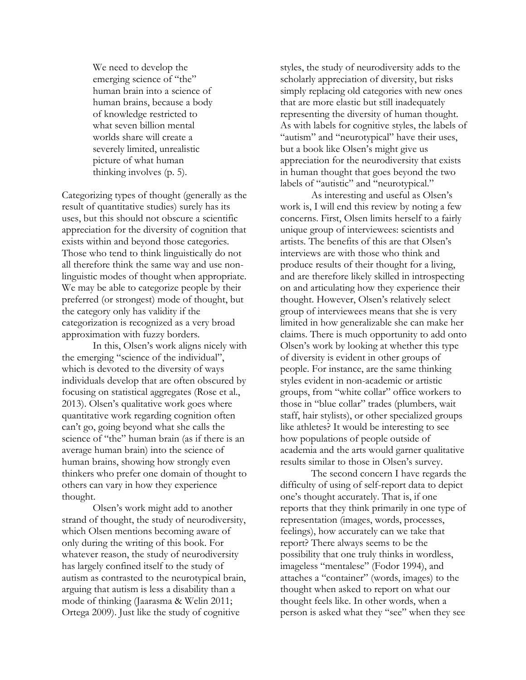We need to develop the emerging science of "the" human brain into a science of human brains, because a body of knowledge restricted to what seven billion mental worlds share will create a severely limited, unrealistic picture of what human thinking involves (p. 5).

Categorizing types of thought (generally as the result of quantitative studies) surely has its uses, but this should not obscure a scientific appreciation for the diversity of cognition that exists within and beyond those categories. Those who tend to think linguistically do not all therefore think the same way and use nonlinguistic modes of thought when appropriate. We may be able to categorize people by their preferred (or strongest) mode of thought, but the category only has validity if the categorization is recognized as a very broad approximation with fuzzy borders.

In this, Olsen's work aligns nicely with the emerging "science of the individual", which is devoted to the diversity of ways individuals develop that are often obscured by focusing on statistical aggregates (Rose et al., 2013). Olsen's qualitative work goes where quantitative work regarding cognition often can't go, going beyond what she calls the science of "the" human brain (as if there is an average human brain) into the science of human brains, showing how strongly even thinkers who prefer one domain of thought to others can vary in how they experience thought.

Olsen's work might add to another strand of thought, the study of neurodiversity, which Olsen mentions becoming aware of only during the writing of this book. For whatever reason, the study of neurodiversity has largely confined itself to the study of autism as contrasted to the neurotypical brain, arguing that autism is less a disability than a mode of thinking (Jaarasma & Welin 2011; Ortega 2009). Just like the study of cognitive

styles, the study of neurodiversity adds to the scholarly appreciation of diversity, but risks simply replacing old categories with new ones that are more elastic but still inadequately representing the diversity of human thought. As with labels for cognitive styles, the labels of "autism" and "neurotypical" have their uses, but a book like Olsen's might give us appreciation for the neurodiversity that exists in human thought that goes beyond the two labels of "autistic" and "neurotypical."

As interesting and useful as Olsen's work is, I will end this review by noting a few concerns. First, Olsen limits herself to a fairly unique group of interviewees: scientists and artists. The benefits of this are that Olsen's interviews are with those who think and produce results of their thought for a living, and are therefore likely skilled in introspecting on and articulating how they experience their thought. However, Olsen's relatively select group of interviewees means that she is very limited in how generalizable she can make her claims. There is much opportunity to add onto Olsen's work by looking at whether this type of diversity is evident in other groups of people. For instance, are the same thinking styles evident in non-academic or artistic groups, from "white collar" office workers to those in "blue collar" trades (plumbers, wait staff, hair stylists), or other specialized groups like athletes? It would be interesting to see how populations of people outside of academia and the arts would garner qualitative results similar to those in Olsen's survey.

The second concern I have regards the difficulty of using of self-report data to depict one's thought accurately. That is, if one reports that they think primarily in one type of representation (images, words, processes, feelings), how accurately can we take that report? There always seems to be the possibility that one truly thinks in wordless, imageless "mentalese" (Fodor 1994), and attaches a "container" (words, images) to the thought when asked to report on what our thought feels like. In other words, when a person is asked what they "see" when they see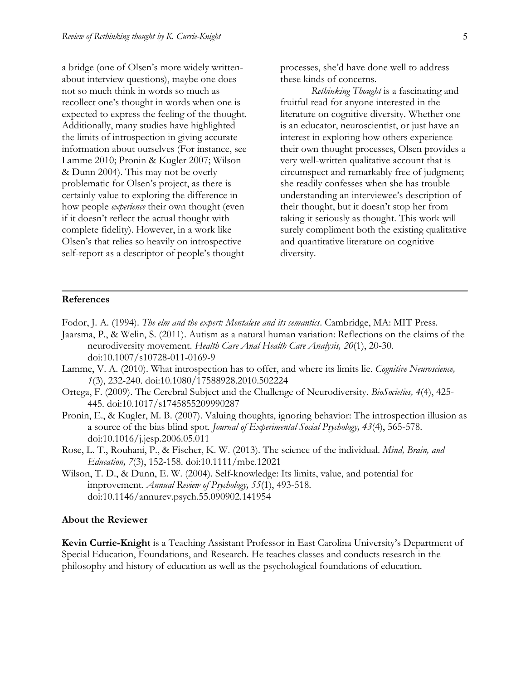a bridge (one of Olsen's more widely writtenabout interview questions), maybe one does not so much think in words so much as recollect one's thought in words when one is expected to express the feeling of the thought. Additionally, many studies have highlighted the limits of introspection in giving accurate information about ourselves (For instance, see Lamme 2010; Pronin & Kugler 2007; Wilson & Dunn 2004). This may not be overly problematic for Olsen's project, as there is certainly value to exploring the difference in how people *experience* their own thought (even if it doesn't reflect the actual thought with complete fidelity). However, in a work like Olsen's that relies so heavily on introspective self-report as a descriptor of people's thought

processes, she'd have done well to address these kinds of concerns.

*Rethinking Thought* is a fascinating and fruitful read for anyone interested in the literature on cognitive diversity. Whether one is an educator, neuroscientist, or just have an interest in exploring how others experience their own thought processes, Olsen provides a very well-written qualitative account that is circumspect and remarkably free of judgment; she readily confesses when she has trouble understanding an interviewee's description of their thought, but it doesn't stop her from taking it seriously as thought. This work will surely compliment both the existing qualitative and quantitative literature on cognitive diversity.

#### **References**

- Fodor, J. A. (1994). *The elm and the expert: Mentalese and its semantics*. Cambridge, MA: MIT Press.
- Jaarsma, P., & Welin, S. (2011). Autism as a natural human variation: Reflections on the claims of the neurodiversity movement. *Health Care Anal Health Care Analysis, 20*(1), 20-30. doi:10.1007/s10728-011-0169-9
- Lamme, V. A. (2010). What introspection has to offer, and where its limits lie. *Cognitive Neuroscience, 1*(3), 232-240. doi:10.1080/17588928.2010.502224
- Ortega, F. (2009). The Cerebral Subject and the Challenge of Neurodiversity. *BioSocieties, 4*(4), 425- 445. doi:10.1017/s1745855209990287
- Pronin, E., & Kugler, M. B. (2007). Valuing thoughts, ignoring behavior: The introspection illusion as a source of the bias blind spot. *Journal of Experimental Social Psychology, 43*(4), 565-578. doi:10.1016/j.jesp.2006.05.011
- Rose, L. T., Rouhani, P., & Fischer, K. W. (2013). The science of the individual. *Mind, Brain, and Education, 7*(3), 152-158. doi:10.1111/mbe.12021
- Wilson, T. D., & Dunn, E. W. (2004). Self-knowledge: Its limits, value, and potential for improvement. *Annual Review of Psychology, 55*(1), 493-518. doi:10.1146/annurev.psych.55.090902.141954

#### **About the Reviewer**

**Kevin Currie-Knight** is a Teaching Assistant Professor in East Carolina University's Department of Special Education, Foundations, and Research. He teaches classes and conducts research in the philosophy and history of education as well as the psychological foundations of education.